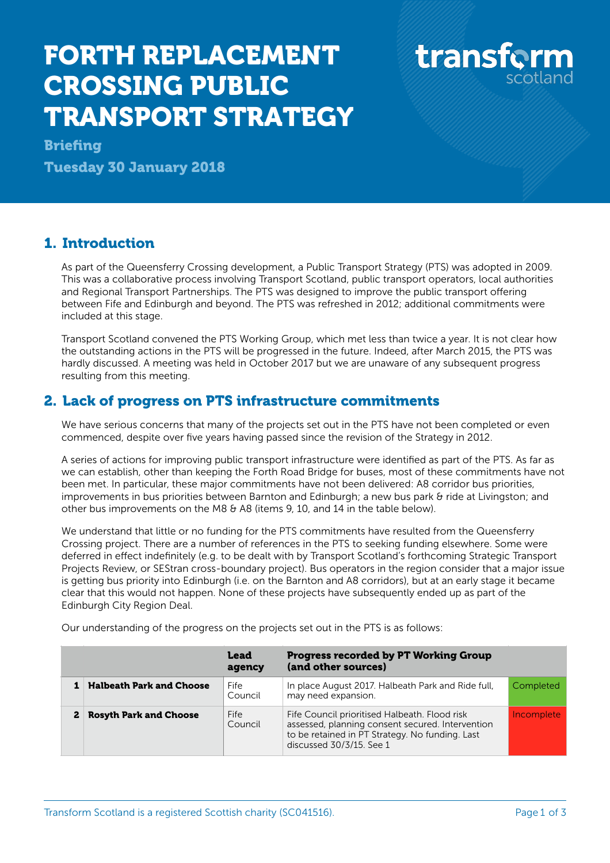## FORTH REPLACEMENT CROSSING PUBLIC TRANSPORT STRATEGY

transform

**Briefing** 

Tuesday 30 January 2018

## 1. Introduction

As part of the Queensferry Crossing development, a Public Transport Strategy (PTS) was adopted in 2009. This was a collaborative process involving Transport Scotland, public transport operators, local authorities and Regional Transport Partnerships. The PTS was designed to improve the public transport offering between Fife and Edinburgh and beyond. The PTS was refreshed in 2012; additional commitments were included at this stage.

Transport Scotland convened the PTS Working Group, which met less than twice a year. It is not clear how the outstanding actions in the PTS will be progressed in the future. Indeed, after March 2015, the PTS was hardly discussed. A meeting was held in October 2017 but we are unaware of any subsequent progress resulting from this meeting.

## 2. Lack of progress on PTS infrastructure commitments

We have serious concerns that many of the projects set out in the PTS have not been completed or even commenced, despite over five years having passed since the revision of the Strategy in 2012.

A series of actions for improving public transport infrastructure were identified as part of the PTS. As far as we can establish, other than keeping the Forth Road Bridge for buses, most of these commitments have not been met. In particular, these major commitments have not been delivered: A8 corridor bus priorities, improvements in bus priorities between Barnton and Edinburgh; a new bus park & ride at Livingston; and other bus improvements on the M8 & A8 (items 9, 10, and 14 in the table below).

We understand that little or no funding for the PTS commitments have resulted from the Queensferry Crossing project. There are a number of references in the PTS to seeking funding elsewhere. Some were deferred in effect indefinitely (e.g. to be dealt with by Transport Scotland's forthcoming Strategic Transport Projects Review, or SEStran cross-boundary project). Bus operators in the region consider that a major issue is getting bus priority into Edinburgh (i.e. on the Barnton and A8 corridors), but at an early stage it became clear that this would not happen. None of these projects have subsequently ended up as part of the Edinburgh City Region Deal.

Our understanding of the progress on the projects set out in the PTS is as follows:

|                                 | <b>Lead</b><br>agency | <b>Progress recorded by PT Working Group</b><br>(and other sources)                                                                                                              |            |
|---------------------------------|-----------------------|----------------------------------------------------------------------------------------------------------------------------------------------------------------------------------|------------|
| <b>Halbeath Park and Choose</b> | Fife<br>Council       | In place August 2017. Halbeath Park and Ride full,<br>may need expansion.                                                                                                        | Completed  |
| <b>Rosyth Park and Choose</b>   | Fife<br>Council       | Fife Council prioritised Halbeath. Flood risk<br>assessed, planning consent secured. Intervention<br>to be retained in PT Strategy. No funding. Last<br>discussed 30/3/15. See 1 | Incomplete |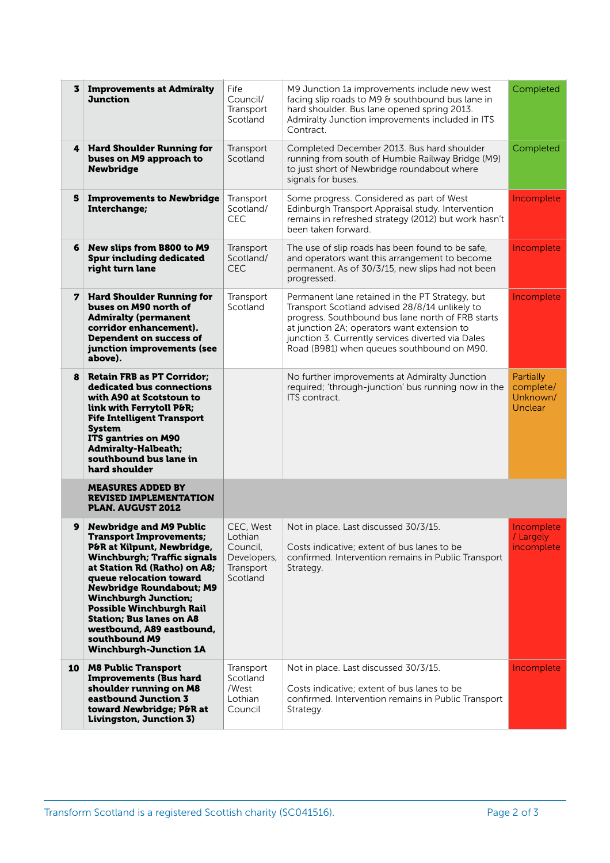| 3  | <b>Improvements at Admiralty</b><br><b>Junction</b>                                                                                                                                                                                                                                                                                                                                                                    | Fife<br>Council/<br>Transport<br>Scotland                                | M9 Junction 1a improvements include new west<br>facing slip roads to M9 & southbound bus lane in<br>hard shoulder. Bus lane opened spring 2013.<br>Admiralty Junction improvements included in ITS<br>Contract.                                                                                          | Completed                                     |
|----|------------------------------------------------------------------------------------------------------------------------------------------------------------------------------------------------------------------------------------------------------------------------------------------------------------------------------------------------------------------------------------------------------------------------|--------------------------------------------------------------------------|----------------------------------------------------------------------------------------------------------------------------------------------------------------------------------------------------------------------------------------------------------------------------------------------------------|-----------------------------------------------|
|    | 4 Hard Shoulder Running for<br>buses on M9 approach to<br><b>Newbridge</b>                                                                                                                                                                                                                                                                                                                                             | Transport<br>Scotland                                                    | Completed December 2013. Bus hard shoulder<br>running from south of Humbie Railway Bridge (M9)<br>to just short of Newbridge roundabout where<br>signals for buses.                                                                                                                                      | Completed                                     |
| 5  | <b>Improvements to Newbridge</b><br>Interchange;                                                                                                                                                                                                                                                                                                                                                                       | Transport<br>Scotland/<br>CEC                                            | Some progress. Considered as part of West<br>Edinburgh Transport Appraisal study. Intervention<br>remains in refreshed strategy (2012) but work hasn't<br>been taken forward.                                                                                                                            | Incomplete                                    |
| 6  | New slips from B800 to M9<br><b>Spur including dedicated</b><br>right turn lane                                                                                                                                                                                                                                                                                                                                        | Transport<br>Scotland/<br><b>CEC</b>                                     | The use of slip roads has been found to be safe,<br>and operators want this arrangement to become<br>permanent. As of 30/3/15, new slips had not been<br>progressed.                                                                                                                                     | Incomplete                                    |
| 7  | <b>Hard Shoulder Running for</b><br>buses on M90 north of<br><b>Admiralty (permanent</b><br>corridor enhancement).<br><b>Dependent on success of</b><br>junction improvements (see<br>above).                                                                                                                                                                                                                          | Transport<br>Scotland                                                    | Permanent lane retained in the PT Strategy, but<br>Transport Scotland advised 28/8/14 unlikely to<br>progress. Southbound bus lane north of FRB starts<br>at junction 2A; operators want extension to<br>junction 3. Currently services diverted via Dales<br>Road (B981) when queues southbound on M90. | Incomplete                                    |
| 8  | <b>Retain FRB as PT Corridor;</b><br>dedicated bus connections<br>with A90 at Scotstoun to<br>link with Ferrytoll P&R<br><b>Fife Intelligent Transport</b><br><b>System</b><br>ITS gantries on M90<br><b>Admiralty-Halbeath;</b><br>southbound bus lane in<br>hard shoulder                                                                                                                                            |                                                                          | No further improvements at Admiralty Junction<br>required; 'through-junction' bus running now in the<br>ITS contract.                                                                                                                                                                                    | Partially<br>complete/<br>Unknown/<br>Unclear |
|    | <b>MEASURES ADDED BY</b><br><b>REVISED IMPLEMENTATION</b><br><b>PLAN. AUGUST 2012</b>                                                                                                                                                                                                                                                                                                                                  |                                                                          |                                                                                                                                                                                                                                                                                                          |                                               |
| 9  | <b>Newbridge and M9 Public</b><br><b>Transport Improvements;</b><br>P&R at Kilpunt, Newbridge,<br><b>Winchburgh; Traffic signals</b><br>at Station Rd (Ratho) on A8;<br>queue relocation toward<br><b>Newbridge Roundabout; M9</b><br><b>Winchburgh Junction;</b><br><b>Possible Winchburgh Rail</b><br><b>Station; Bus lanes on A8</b><br>westbound, A89 eastbound,<br>southbound M9<br><b>Winchburgh-Junction 1A</b> | CEC, West<br>Lothian<br>Council,<br>Developers,<br>Transport<br>Scotland | Not in place. Last discussed 30/3/15.<br>Costs indicative; extent of bus lanes to be<br>confirmed. Intervention remains in Public Transport<br>Strategy.                                                                                                                                                 | Incomplete<br>/ Largely<br>incomplete         |
| 10 | <b>M8 Public Transport</b><br><b>Improvements (Bus hard</b><br>shoulder running on M8<br>eastbound Junction 3<br>toward Newbridge; P&R at<br>Livingston, Junction 3)                                                                                                                                                                                                                                                   | Transport<br>Scotland<br>/West<br>Lothian<br>Council                     | Not in place. Last discussed 30/3/15.<br>Costs indicative; extent of bus lanes to be<br>confirmed. Intervention remains in Public Transport<br>Strategy.                                                                                                                                                 | Incomplete                                    |